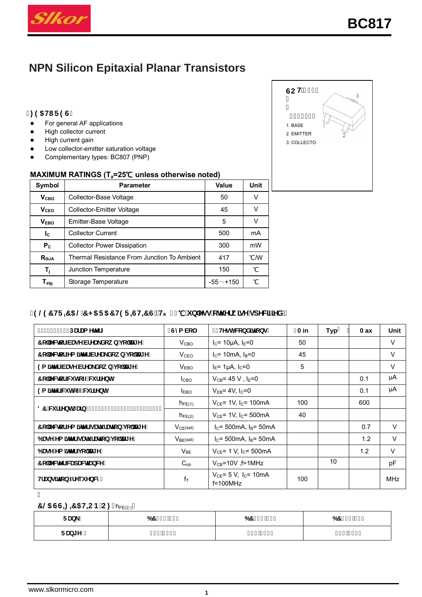

# **NPN Silicon Epitaxial Planar Transistors**

#### $\cdot$ : 95H F9G

- For general AF applications  $\bullet$
- High collector current  $\bullet$
- High current gain  $\bullet$
- Low collector-emitter saturation voltage  $\bullet$
- Complementary types: BC807 (PNP)  $\bullet$

#### MAXIMUM RATINGS (T<sub>a</sub>=25°C unless otherwise noted)

| Symbol           | <b>Parameter</b>                            | Value           | <b>Unit</b> |
|------------------|---------------------------------------------|-----------------|-------------|
| V <sub>CBO</sub> | Collector-Base Voltage                      | 50              |             |
| V <sub>ceo</sub> | <b>Collector-Emitter Voltage</b>            | 45              |             |
| V <sub>FBO</sub> | Emitter-Base Voltage                        | 5               | v           |
| <b>I</b> c       | <b>Collector Current</b>                    | 500             | mA          |
| $P_{C}$          | <b>Collector Power Dissipation</b>          | 300             | mW          |
| Roja             | Thermal Resistance From Junction To Ambient | 417             | °CM         |
| T,               | Junction Temperature                        | 150             | °C          |
| $T_{\rm stg}$    | Storage Temperature                         | -55 $\sim$ +150 | ℃           |

# '9 @ 7 HF = 5 @ 7 < 5 F 5 7 H9 F = GH= 7 G'fHa1&) "C'i b'Ygg'ch Yfk ]gY'gdYW]ZYXŁ

| DUFUa YHYF                           | Gma Vc           | HYgh WbX]hcbg                                        | <b>Ain</b> | <b>Typ</b> | Aax | Unit       |
|--------------------------------------|------------------|------------------------------------------------------|------------|------------|-----|------------|
| 7c"YWcf!VUgY'VfYU_Xck b'j c'HJ[Y'    | V <sub>CBO</sub> | $I_C$ = 10µA, $I_E$ =0                               | 50         |            |     | V          |
| 7c"YWcf!Ya JHYf'VfYU_Xck b'j c'HJ[Y' | V <sub>CEO</sub> | $IC$ = 10mA, $IB$ =0                                 | 45         |            |     | V          |
| 9a ]HYf!VUgYVfYU_Xck b j c HJ Y      | V <sub>EBO</sub> | $I_E$ = 1µA, $I_C$ =0                                | 5          |            |     | V          |
| 7c"YWcf"W HcZZW ffYbh                | <b>I</b> CBO     | $V_{CB} = 45 V$ , I <sub>E</sub> =0                  |            |            | 0.1 | μA         |
| 9a JHYf W HcZZW ffYbh                | $I_{EBO}$        | $V_{FB}$ = 4V, I <sub>C</sub> =0                     |            |            | 0.1 | μA         |
| 87 W ff Ybhi Ulb                     | $h_{FE(1)}$      | $V_{CE}$ = 1V, I <sub>C</sub> = 100mA                | 100        |            | 600 |            |
|                                      | $h_{FE(2)}$      | $V_{CE}$ = 1V, $I_C$ = 500mA                         | 40         |            |     |            |
| 7c"YWcf!Ya ]HYf gUri fUrjcb j c'HJ[Y | $V_{CE}(sat)$    | $IC$ = 500mA, $IB$ = 50mA                            |            |            | 0.7 | $\vee$     |
| 6 UgY!Ya ]HYf gUri fUrjcb j c`HJ[Y   | $V_{BE}$ (sat)   | $IC$ = 500mA, $IB$ = 50mA                            |            |            | 1.2 | $\vee$     |
| 6 UgY!Ya JHYf j c`HJ[Y               | $V_{BE}$         | $V_{CE}$ = 1 V, $I_C$ = 500mA                        |            |            | 1.2 | $\vee$     |
| 7 c"YWM' WUdUWIUbWY                  | $C_{ob}$         | $V_{CB}$ =10V $,$ f=1MHz                             |            | 10         |     | pF         |
| <b>Hilbgillich Zilei YbWn</b>        | $f_T$            | $V_{CE} = 5 V$ , I <sub>C</sub> = 10mA<br>$f=100MHz$ | 100        |            |     | <b>MHz</b> |

### 7 @ GG= = 5H=CB C: hFE fin

| $e^{i\theta}$ | , % !% .<br>67 | $67, \%$ $18$ | $%1($ \$<br>67 |
|---------------|----------------|---------------|----------------|
| FUb[Y]        | %\$!&)\$       | %\$!(\$\$`    | 8) \$!* \$\$   |

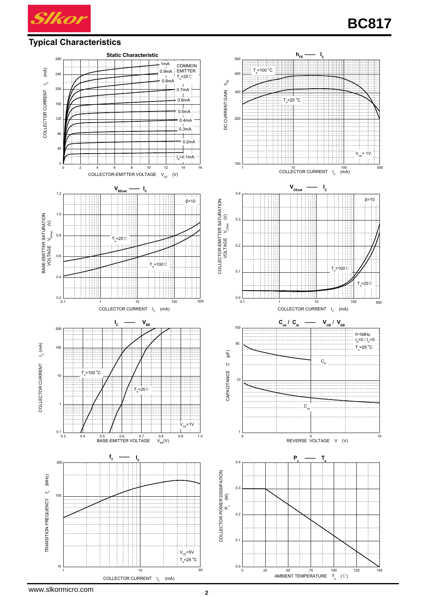

### **Typical Characteristics**